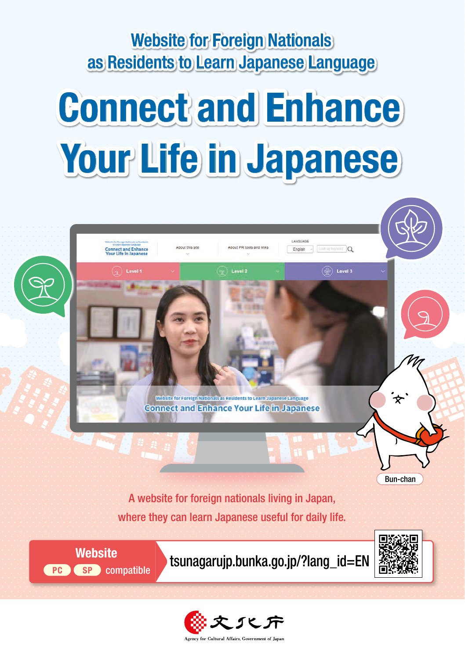### Website for Foreign Nationals as Residents to Learn Japanese Language

# Connect and Enhance Your Life in Japanese



where they can learn Japanese useful for daily life.



Website **the U.S. Examples** tsunagarujp.bunka.go.jp/?lang\_id=EN



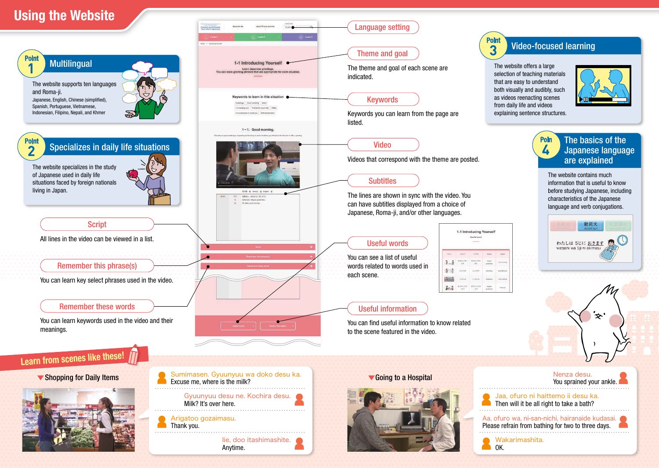## Using the Website